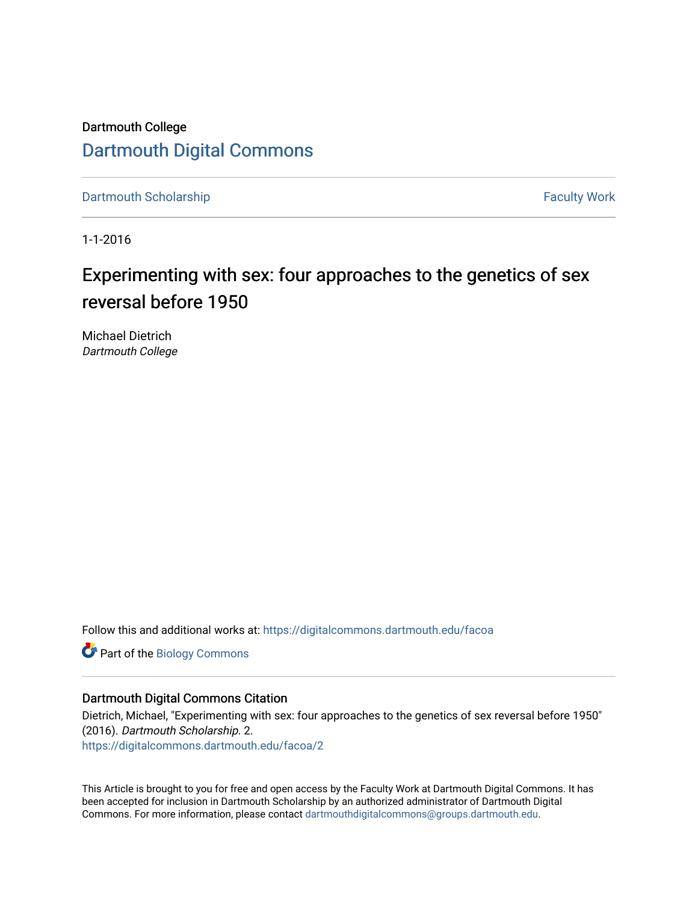Dartmouth College [Dartmouth Digital Commons](https://digitalcommons.dartmouth.edu/) 

[Dartmouth Scholarship](https://digitalcommons.dartmouth.edu/facoa) Faculty Work

1-1-2016

# Experimenting with sex: four approaches to the genetics of sex reversal before 1950

Michael Dietrich Dartmouth College

Follow this and additional works at: [https://digitalcommons.dartmouth.edu/facoa](https://digitalcommons.dartmouth.edu/facoa?utm_source=digitalcommons.dartmouth.edu%2Ffacoa%2F2&utm_medium=PDF&utm_campaign=PDFCoverPages)

Part of the [Biology Commons](http://network.bepress.com/hgg/discipline/41?utm_source=digitalcommons.dartmouth.edu%2Ffacoa%2F2&utm_medium=PDF&utm_campaign=PDFCoverPages) 

## Dartmouth Digital Commons Citation

Dietrich, Michael, "Experimenting with sex: four approaches to the genetics of sex reversal before 1950" (2016). Dartmouth Scholarship. 2. [https://digitalcommons.dartmouth.edu/facoa/2](https://digitalcommons.dartmouth.edu/facoa/2?utm_source=digitalcommons.dartmouth.edu%2Ffacoa%2F2&utm_medium=PDF&utm_campaign=PDFCoverPages) 

This Article is brought to you for free and open access by the Faculty Work at Dartmouth Digital Commons. It has been accepted for inclusion in Dartmouth Scholarship by an authorized administrator of Dartmouth Digital Commons. For more information, please contact [dartmouthdigitalcommons@groups.dartmouth.edu](mailto:dartmouthdigitalcommons@groups.dartmouth.edu).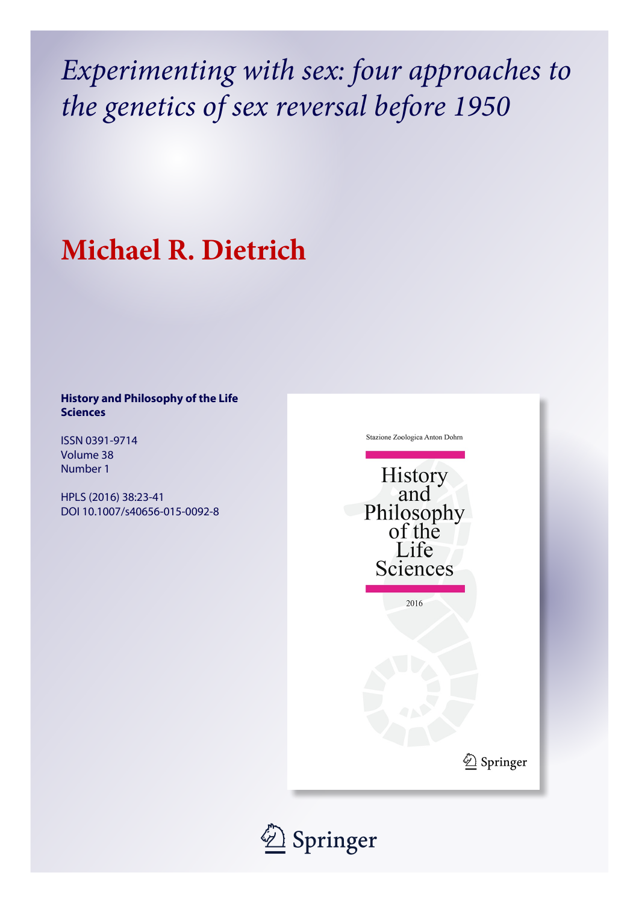*Experimenting with sex: four approaches to the genetics of sex reversal before 1950*

# **Michael R. Dietrich**

# **History and Philosophy of the Life Sciences**

ISSN 0391-9714 Volume 38 Number 1

HPLS (2016) 38:23-41 DOI 10.1007/s40656-015-0092-8 Stazione Zoologica Anton Dohrn

History<br>
and<br>
Philosophy<br>
of the<br>
Life Sciences

2016

2 Springer

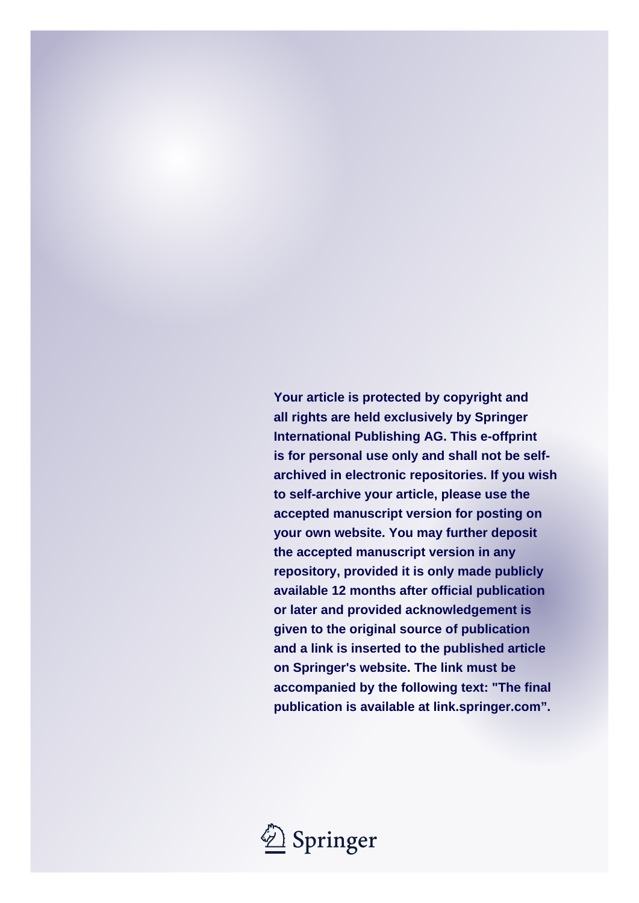**Your article is protected by copyright and all rights are held exclusively by Springer International Publishing AG. This e-offprint is for personal use only and shall not be selfarchived in electronic repositories. If you wish to self-archive your article, please use the accepted manuscript version for posting on your own website. You may further deposit the accepted manuscript version in any repository, provided it is only made publicly available 12 months after official publication or later and provided acknowledgement is given to the original source of publication and a link is inserted to the published article on Springer's website. The link must be accompanied by the following text: "The final publication is available at link.springer.com".**

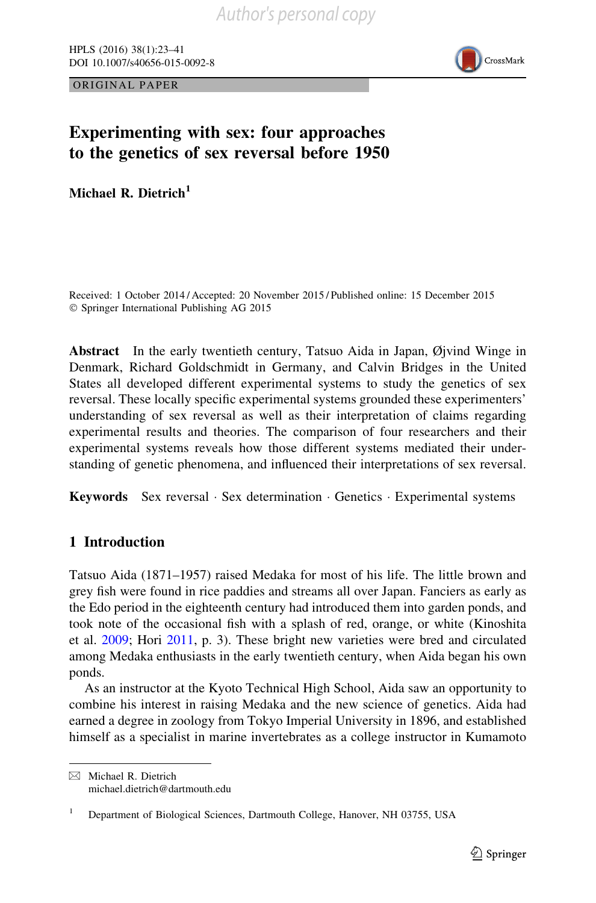HPLS (2016) 38(1):23–41 DOI 10.1007/s40656-015-0092-8

ORIGINAL PAPER



# Experimenting with sex: four approaches to the genetics of sex reversal before 1950

Michael R. Dietrich<sup>1</sup>

Received: 1 October 2014 / Accepted: 20 November 2015 / Published online: 15 December 2015 - Springer International Publishing AG 2015

Abstract In the early twentieth century, Tatsuo Aida in Japan, Øjvind Winge in Denmark, Richard Goldschmidt in Germany, and Calvin Bridges in the United States all developed different experimental systems to study the genetics of sex reversal. These locally specific experimental systems grounded these experimenters' understanding of sex reversal as well as their interpretation of claims regarding experimental results and theories. The comparison of four researchers and their experimental systems reveals how those different systems mediated their understanding of genetic phenomena, and influenced their interpretations of sex reversal.

Keywords Sex reversal · Sex determination · Genetics · Experimental systems

#### 1 Introduction

Tatsuo Aida (1871–1957) raised Medaka for most of his life. The little brown and grey fish were found in rice paddies and streams all over Japan. Fanciers as early as the Edo period in the eighteenth century had introduced them into garden ponds, and took note of the occasional fish with a splash of red, orange, or white (Kinoshita et al. [2009](#page-20-0); Hori [2011](#page-20-0), p. 3). These bright new varieties were bred and circulated among Medaka enthusiasts in the early twentieth century, when Aida began his own ponds.

As an instructor at the Kyoto Technical High School, Aida saw an opportunity to combine his interest in raising Medaka and the new science of genetics. Aida had earned a degree in zoology from Tokyo Imperial University in 1896, and established himself as a specialist in marine invertebrates as a college instructor in Kumamoto

 $\boxtimes$  Michael R. Dietrich michael.dietrich@dartmouth.edu

<sup>&</sup>lt;sup>1</sup> Department of Biological Sciences, Dartmouth College, Hanover, NH 03755, USA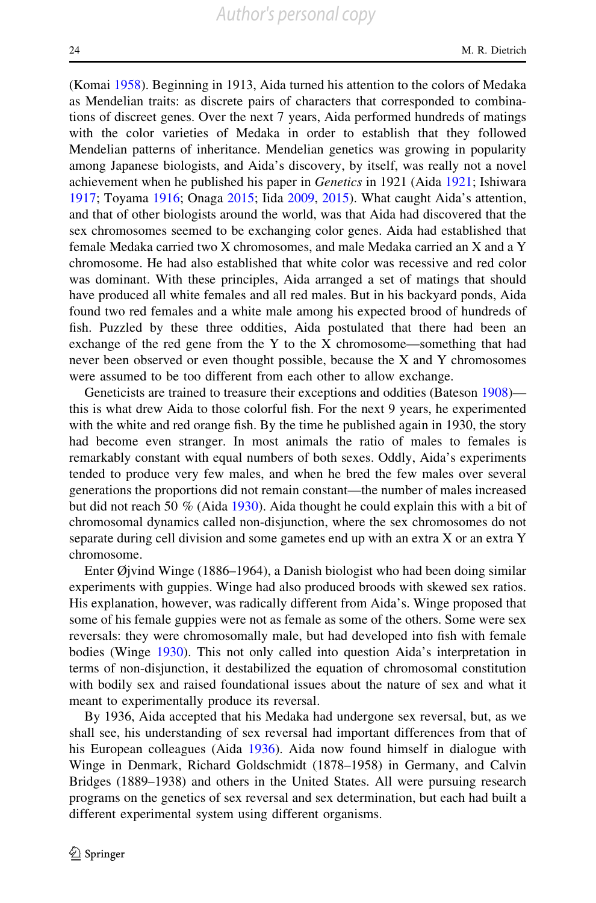(Komai [1958](#page-20-0)). Beginning in 1913, Aida turned his attention to the colors of Medaka as Mendelian traits: as discrete pairs of characters that corresponded to combinations of discreet genes. Over the next 7 years, Aida performed hundreds of matings with the color varieties of Medaka in order to establish that they followed Mendelian patterns of inheritance. Mendelian genetics was growing in popularity among Japanese biologists, and Aida's discovery, by itself, was really not a novel achievement when he published his paper in Genetics in 1921 (Aida [1921](#page-18-0); Ishiwara [1917;](#page-20-0) Toyama [1916;](#page-21-0) Onaga [2015;](#page-20-0) Iida [2009](#page-20-0), [2015\)](#page-20-0). What caught Aida's attention, and that of other biologists around the world, was that Aida had discovered that the sex chromosomes seemed to be exchanging color genes. Aida had established that female Medaka carried two X chromosomes, and male Medaka carried an X and a Y chromosome. He had also established that white color was recessive and red color was dominant. With these principles, Aida arranged a set of matings that should have produced all white females and all red males. But in his backyard ponds, Aida found two red females and a white male among his expected brood of hundreds of fish. Puzzled by these three oddities, Aida postulated that there had been an exchange of the red gene from the Y to the X chromosome—something that had never been observed or even thought possible, because the X and Y chromosomes were assumed to be too different from each other to allow exchange.

Geneticists are trained to treasure their exceptions and oddities (Bateson [1908](#page-18-0)) this is what drew Aida to those colorful fish. For the next 9 years, he experimented with the white and red orange fish. By the time he published again in 1930, the story had become even stranger. In most animals the ratio of males to females is remarkably constant with equal numbers of both sexes. Oddly, Aida's experiments tended to produce very few males, and when he bred the few males over several generations the proportions did not remain constant—the number of males increased but did not reach 50 % (Aida [1930\)](#page-18-0). Aida thought he could explain this with a bit of chromosomal dynamics called non-disjunction, where the sex chromosomes do not separate during cell division and some gametes end up with an extra X or an extra Y chromosome.

Enter Øjvind Winge (1886–1964), a Danish biologist who had been doing similar experiments with guppies. Winge had also produced broods with skewed sex ratios. His explanation, however, was radically different from Aida's. Winge proposed that some of his female guppies were not as female as some of the others. Some were sex reversals: they were chromosomally male, but had developed into fish with female bodies (Winge [1930](#page-21-0)). This not only called into question Aida's interpretation in terms of non-disjunction, it destabilized the equation of chromosomal constitution with bodily sex and raised foundational issues about the nature of sex and what it meant to experimentally produce its reversal.

By 1936, Aida accepted that his Medaka had undergone sex reversal, but, as we shall see, his understanding of sex reversal had important differences from that of his European colleagues (Aida [1936\)](#page-18-0). Aida now found himself in dialogue with Winge in Denmark, Richard Goldschmidt (1878–1958) in Germany, and Calvin Bridges (1889–1938) and others in the United States. All were pursuing research programs on the genetics of sex reversal and sex determination, but each had built a different experimental system using different organisms.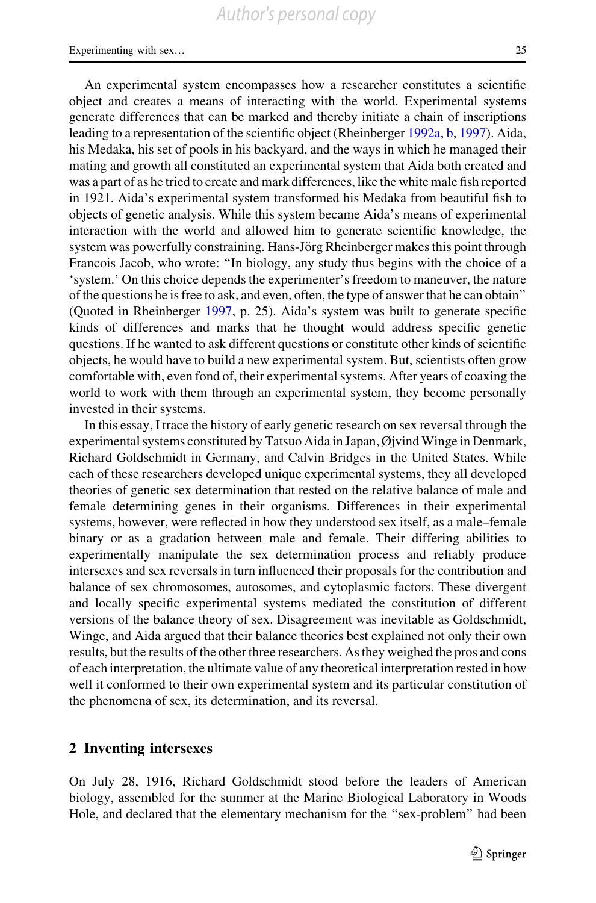#### Experimenting with sex… 25

An experimental system encompasses how a researcher constitutes a scientific object and creates a means of interacting with the world. Experimental systems generate differences that can be marked and thereby initiate a chain of inscriptions leading to a representation of the scientific object (Rheinberger [1992a](#page-20-0), [b](#page-20-0), [1997\)](#page-20-0). Aida, his Medaka, his set of pools in his backyard, and the ways in which he managed their mating and growth all constituted an experimental system that Aida both created and was a part of as he tried to create and mark differences, like the white male fish reported in 1921. Aida's experimental system transformed his Medaka from beautiful fish to objects of genetic analysis. While this system became Aida's means of experimental interaction with the world and allowed him to generate scientific knowledge, the system was powerfully constraining. Hans-Jörg Rheinberger makes this point through Francois Jacob, who wrote: ''In biology, any study thus begins with the choice of a 'system.' On this choice depends the experimenter's freedom to maneuver, the nature of the questions he is free to ask, and even, often, the type of answer that he can obtain'' (Quoted in Rheinberger [1997](#page-20-0), p. 25). Aida's system was built to generate specific kinds of differences and marks that he thought would address specific genetic questions. If he wanted to ask different questions or constitute other kinds of scientific objects, he would have to build a new experimental system. But, scientists often grow comfortable with, even fond of, their experimental systems. After years of coaxing the world to work with them through an experimental system, they become personally invested in their systems.

In this essay, I trace the history of early genetic research on sex reversal through the experimental systems constituted by Tatsuo Aida in Japan, Øjvind Winge in Denmark, Richard Goldschmidt in Germany, and Calvin Bridges in the United States. While each of these researchers developed unique experimental systems, they all developed theories of genetic sex determination that rested on the relative balance of male and female determining genes in their organisms. Differences in their experimental systems, however, were reflected in how they understood sex itself, as a male–female binary or as a gradation between male and female. Their differing abilities to experimentally manipulate the sex determination process and reliably produce intersexes and sex reversals in turn influenced their proposals for the contribution and balance of sex chromosomes, autosomes, and cytoplasmic factors. These divergent and locally specific experimental systems mediated the constitution of different versions of the balance theory of sex. Disagreement was inevitable as Goldschmidt, Winge, and Aida argued that their balance theories best explained not only their own results, but the results of the other three researchers. As they weighed the pros and cons of each interpretation, the ultimate value of any theoretical interpretation rested in how well it conformed to their own experimental system and its particular constitution of the phenomena of sex, its determination, and its reversal.

#### 2 Inventing intersexes

On July 28, 1916, Richard Goldschmidt stood before the leaders of American biology, assembled for the summer at the Marine Biological Laboratory in Woods Hole, and declared that the elementary mechanism for the ''sex-problem'' had been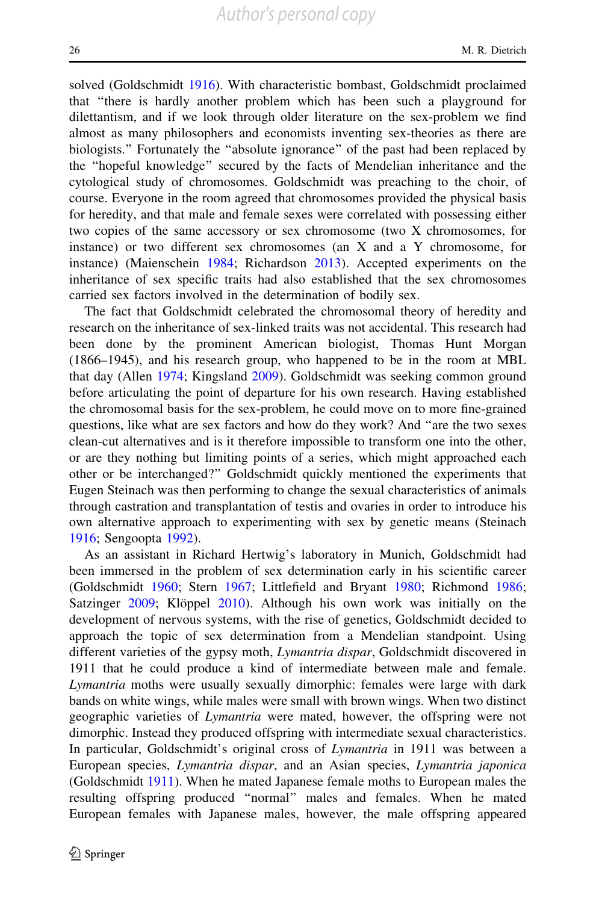solved (Goldschmidt [1916\)](#page-19-0). With characteristic bombast, Goldschmidt proclaimed that ''there is hardly another problem which has been such a playground for dilettantism, and if we look through older literature on the sex-problem we find almost as many philosophers and economists inventing sex-theories as there are biologists.'' Fortunately the ''absolute ignorance'' of the past had been replaced by the ''hopeful knowledge'' secured by the facts of Mendelian inheritance and the cytological study of chromosomes. Goldschmidt was preaching to the choir, of course. Everyone in the room agreed that chromosomes provided the physical basis for heredity, and that male and female sexes were correlated with possessing either two copies of the same accessory or sex chromosome (two X chromosomes, for instance) or two different sex chromosomes (an X and a Y chromosome, for instance) (Maienschein [1984;](#page-20-0) Richardson [2013\)](#page-20-0). Accepted experiments on the inheritance of sex specific traits had also established that the sex chromosomes carried sex factors involved in the determination of bodily sex.

The fact that Goldschmidt celebrated the chromosomal theory of heredity and research on the inheritance of sex-linked traits was not accidental. This research had been done by the prominent American biologist, Thomas Hunt Morgan (1866–1945), and his research group, who happened to be in the room at MBL that day (Allen [1974;](#page-18-0) Kingsland [2009\)](#page-20-0). Goldschmidt was seeking common ground before articulating the point of departure for his own research. Having established the chromosomal basis for the sex-problem, he could move on to more fine-grained questions, like what are sex factors and how do they work? And ''are the two sexes clean-cut alternatives and is it therefore impossible to transform one into the other, or are they nothing but limiting points of a series, which might approached each other or be interchanged?'' Goldschmidt quickly mentioned the experiments that Eugen Steinach was then performing to change the sexual characteristics of animals through castration and transplantation of testis and ovaries in order to introduce his own alternative approach to experimenting with sex by genetic means (Steinach [1916;](#page-21-0) Sengoopta [1992\)](#page-21-0).

As an assistant in Richard Hertwig's laboratory in Munich, Goldschmidt had been immersed in the problem of sex determination early in his scientific career (Goldschmidt [1960](#page-19-0); Stern [1967;](#page-21-0) Littlefield and Bryant [1980;](#page-20-0) Richmond [1986;](#page-20-0) Satzinger [2009;](#page-21-0) Klöppel [2010\)](#page-20-0). Although his own work was initially on the development of nervous systems, with the rise of genetics, Goldschmidt decided to approach the topic of sex determination from a Mendelian standpoint. Using different varieties of the gypsy moth, Lymantria dispar, Goldschmidt discovered in 1911 that he could produce a kind of intermediate between male and female. Lymantria moths were usually sexually dimorphic: females were large with dark bands on white wings, while males were small with brown wings. When two distinct geographic varieties of Lymantria were mated, however, the offspring were not dimorphic. Instead they produced offspring with intermediate sexual characteristics. In particular, Goldschmidt's original cross of Lymantria in 1911 was between a European species, Lymantria dispar, and an Asian species, Lymantria japonica (Goldschmidt [1911\)](#page-19-0). When he mated Japanese female moths to European males the resulting offspring produced ''normal'' males and females. When he mated European females with Japanese males, however, the male offspring appeared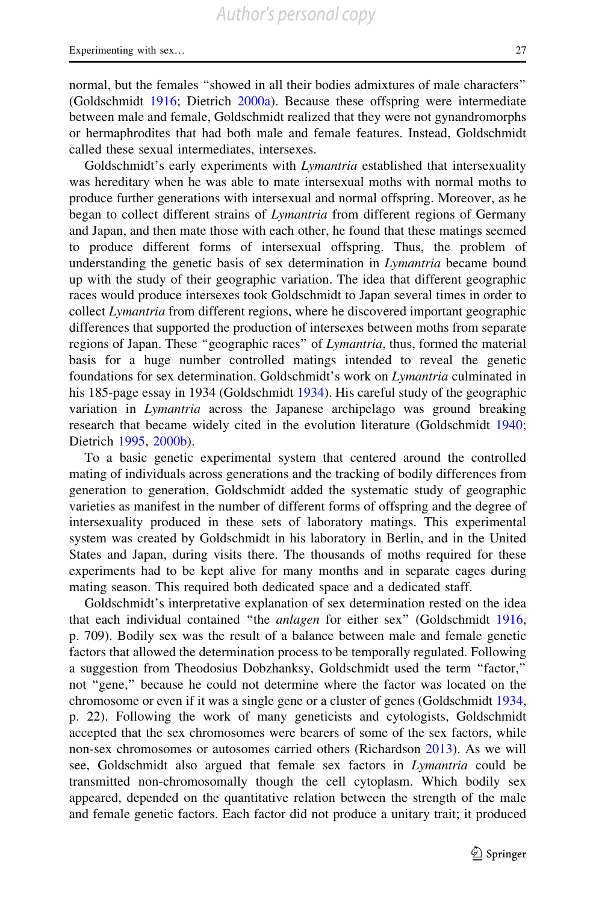normal, but the females ''showed in all their bodies admixtures of male characters'' (Goldschmidt [1916;](#page-19-0) Dietrich [2000a\)](#page-19-0). Because these offspring were intermediate between male and female, Goldschmidt realized that they were not gynandromorphs or hermaphrodites that had both male and female features. Instead, Goldschmidt called these sexual intermediates, intersexes.

Goldschmidt's early experiments with *Lymantria* established that intersexuality was hereditary when he was able to mate intersexual moths with normal moths to produce further generations with intersexual and normal offspring. Moreover, as he began to collect different strains of *Lymantria* from different regions of Germany and Japan, and then mate those with each other, he found that these matings seemed to produce different forms of intersexual offspring. Thus, the problem of understanding the genetic basis of sex determination in *Lymantria* became bound up with the study of their geographic variation. The idea that different geographic races would produce intersexes took Goldschmidt to Japan several times in order to collect *Lymantria* from different regions, where he discovered important geographic differences that supported the production of intersexes between moths from separate regions of Japan. These "geographic races" of Lymantria, thus, formed the material basis for a huge number controlled matings intended to reveal the genetic foundations for sex determination. Goldschmidt's work on Lymantria culminated in his 185-page essay in 1934 (Goldschmidt [1934](#page-19-0)). His careful study of the geographic variation in Lymantria across the Japanese archipelago was ground breaking research that became widely cited in the evolution literature (Goldschmidt [1940;](#page-19-0) Dietrich [1995](#page-19-0), [2000b\)](#page-19-0).

To a basic genetic experimental system that centered around the controlled mating of individuals across generations and the tracking of bodily differences from generation to generation, Goldschmidt added the systematic study of geographic varieties as manifest in the number of different forms of offspring and the degree of intersexuality produced in these sets of laboratory matings. This experimental system was created by Goldschmidt in his laboratory in Berlin, and in the United States and Japan, during visits there. The thousands of moths required for these experiments had to be kept alive for many months and in separate cages during mating season. This required both dedicated space and a dedicated staff.

Goldschmidt's interpretative explanation of sex determination rested on the idea that each individual contained ''the anlagen for either sex'' (Goldschmidt [1916,](#page-19-0) p. 709). Bodily sex was the result of a balance between male and female genetic factors that allowed the determination process to be temporally regulated. Following a suggestion from Theodosius Dobzhanksy, Goldschmidt used the term ''factor,'' not ''gene,'' because he could not determine where the factor was located on the chromosome or even if it was a single gene or a cluster of genes (Goldschmidt [1934,](#page-19-0) p. 22). Following the work of many geneticists and cytologists, Goldschmidt accepted that the sex chromosomes were bearers of some of the sex factors, while non-sex chromosomes or autosomes carried others (Richardson [2013\)](#page-20-0). As we will see, Goldschmidt also argued that female sex factors in *Lymantria* could be transmitted non-chromosomally though the cell cytoplasm. Which bodily sex appeared, depended on the quantitative relation between the strength of the male and female genetic factors. Each factor did not produce a unitary trait; it produced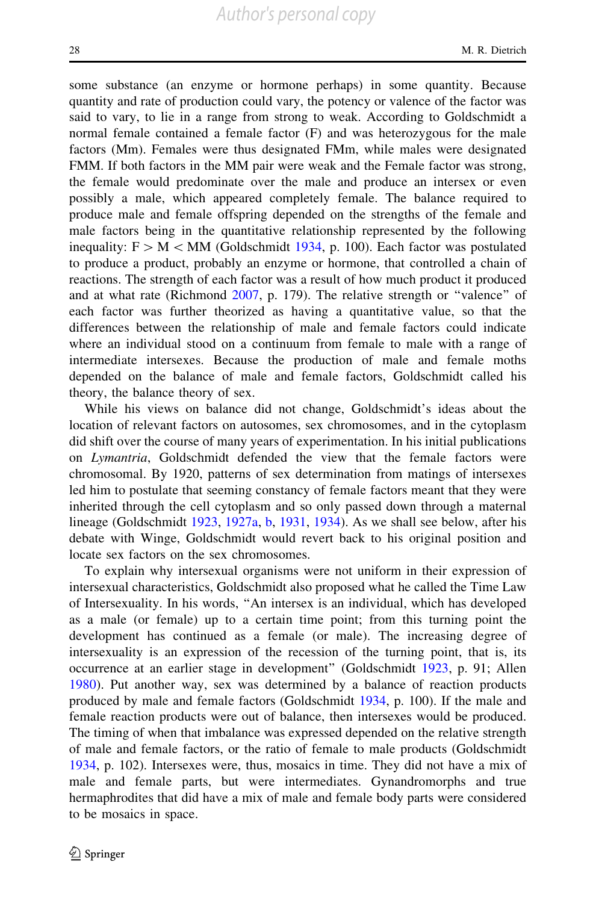some substance (an enzyme or hormone perhaps) in some quantity. Because quantity and rate of production could vary, the potency or valence of the factor was said to vary, to lie in a range from strong to weak. According to Goldschmidt a normal female contained a female factor (F) and was heterozygous for the male factors (Mm). Females were thus designated FMm, while males were designated FMM. If both factors in the MM pair were weak and the Female factor was strong, the female would predominate over the male and produce an intersex or even possibly a male, which appeared completely female. The balance required to produce male and female offspring depended on the strengths of the female and male factors being in the quantitative relationship represented by the following inequality:  $F > M < MM$  (Goldschmidt [1934](#page-19-0), p. 100). Each factor was postulated to produce a product, probably an enzyme or hormone, that controlled a chain of reactions. The strength of each factor was a result of how much product it produced and at what rate (Richmond [2007](#page-21-0), p. 179). The relative strength or ''valence'' of each factor was further theorized as having a quantitative value, so that the differences between the relationship of male and female factors could indicate where an individual stood on a continuum from female to male with a range of intermediate intersexes. Because the production of male and female moths depended on the balance of male and female factors, Goldschmidt called his theory, the balance theory of sex.

While his views on balance did not change, Goldschmidt's ideas about the location of relevant factors on autosomes, sex chromosomes, and in the cytoplasm did shift over the course of many years of experimentation. In his initial publications on Lymantria, Goldschmidt defended the view that the female factors were chromosomal. By 1920, patterns of sex determination from matings of intersexes led him to postulate that seeming constancy of female factors meant that they were inherited through the cell cytoplasm and so only passed down through a maternal lineage (Goldschmidt [1923,](#page-19-0) [1927a](#page-19-0), [b,](#page-19-0) [1931](#page-19-0), [1934](#page-19-0)). As we shall see below, after his debate with Winge, Goldschmidt would revert back to his original position and locate sex factors on the sex chromosomes.

To explain why intersexual organisms were not uniform in their expression of intersexual characteristics, Goldschmidt also proposed what he called the Time Law of Intersexuality. In his words, ''An intersex is an individual, which has developed as a male (or female) up to a certain time point; from this turning point the development has continued as a female (or male). The increasing degree of intersexuality is an expression of the recession of the turning point, that is, its occurrence at an earlier stage in development'' (Goldschmidt [1923,](#page-19-0) p. 91; Allen [1980\)](#page-18-0). Put another way, sex was determined by a balance of reaction products produced by male and female factors (Goldschmidt [1934,](#page-19-0) p. 100). If the male and female reaction products were out of balance, then intersexes would be produced. The timing of when that imbalance was expressed depended on the relative strength of male and female factors, or the ratio of female to male products (Goldschmidt [1934,](#page-19-0) p. 102). Intersexes were, thus, mosaics in time. They did not have a mix of male and female parts, but were intermediates. Gynandromorphs and true hermaphrodites that did have a mix of male and female body parts were considered to be mosaics in space.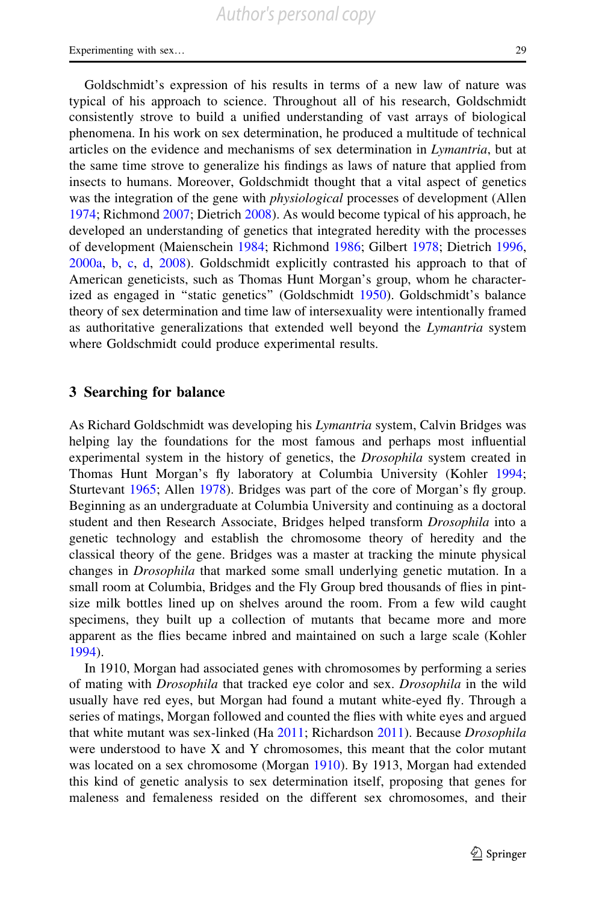Experimenting with sex… 29

Goldschmidt's expression of his results in terms of a new law of nature was typical of his approach to science. Throughout all of his research, Goldschmidt consistently strove to build a unified understanding of vast arrays of biological phenomena. In his work on sex determination, he produced a multitude of technical articles on the evidence and mechanisms of sex determination in Lymantria, but at the same time strove to generalize his findings as laws of nature that applied from insects to humans. Moreover, Goldschmidt thought that a vital aspect of genetics was the integration of the gene with *physiological* processes of development (Allen [1974;](#page-18-0) Richmond [2007](#page-21-0); Dietrich [2008\)](#page-19-0). As would become typical of his approach, he developed an understanding of genetics that integrated heredity with the processes of development (Maienschein [1984](#page-20-0); Richmond [1986](#page-20-0); Gilbert [1978;](#page-19-0) Dietrich [1996,](#page-19-0) [2000a](#page-19-0), [b](#page-19-0), [c,](#page-19-0) [d](#page-19-0), [2008](#page-19-0)). Goldschmidt explicitly contrasted his approach to that of American geneticists, such as Thomas Hunt Morgan's group, whom he characterized as engaged in ''static genetics'' (Goldschmidt [1950](#page-19-0)). Goldschmidt's balance theory of sex determination and time law of intersexuality were intentionally framed as authoritative generalizations that extended well beyond the Lymantria system where Goldschmidt could produce experimental results.

### 3 Searching for balance

As Richard Goldschmidt was developing his Lymantria system, Calvin Bridges was helping lay the foundations for the most famous and perhaps most influential experimental system in the history of genetics, the *Drosophila* system created in Thomas Hunt Morgan's fly laboratory at Columbia University (Kohler [1994;](#page-20-0) Sturtevant [1965](#page-21-0); Allen [1978\)](#page-18-0). Bridges was part of the core of Morgan's fly group. Beginning as an undergraduate at Columbia University and continuing as a doctoral student and then Research Associate, Bridges helped transform *Drosophila* into a genetic technology and establish the chromosome theory of heredity and the classical theory of the gene. Bridges was a master at tracking the minute physical changes in Drosophila that marked some small underlying genetic mutation. In a small room at Columbia, Bridges and the Fly Group bred thousands of flies in pintsize milk bottles lined up on shelves around the room. From a few wild caught specimens, they built up a collection of mutants that became more and more apparent as the flies became inbred and maintained on such a large scale (Kohler [1994\)](#page-20-0).

In 1910, Morgan had associated genes with chromosomes by performing a series of mating with Drosophila that tracked eye color and sex. Drosophila in the wild usually have red eyes, but Morgan had found a mutant white-eyed fly. Through a series of matings, Morgan followed and counted the flies with white eyes and argued that white mutant was sex-linked (Ha [2011;](#page-19-0) Richardson [2011](#page-20-0)). Because Drosophila were understood to have X and Y chromosomes, this meant that the color mutant was located on a sex chromosome (Morgan [1910](#page-20-0)). By 1913, Morgan had extended this kind of genetic analysis to sex determination itself, proposing that genes for maleness and femaleness resided on the different sex chromosomes, and their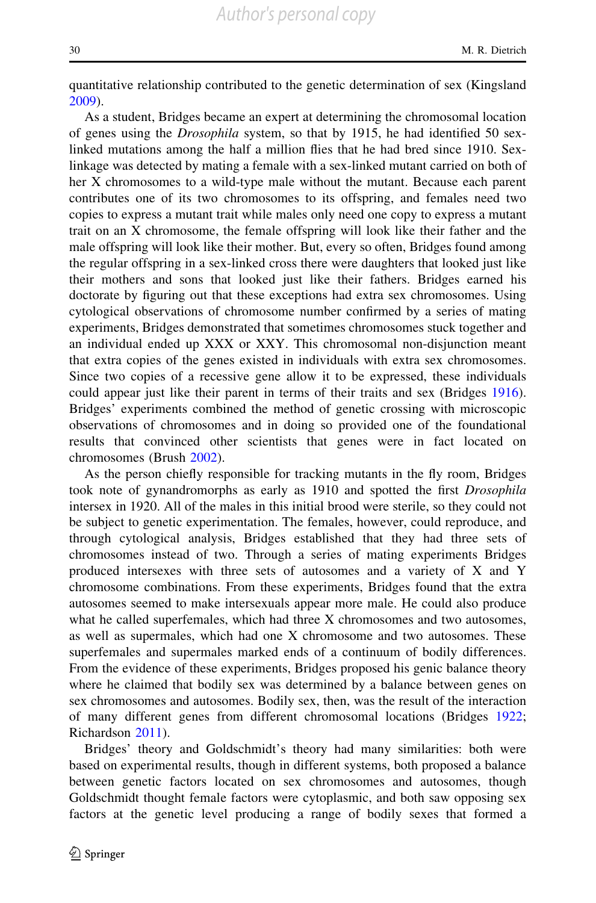quantitative relationship contributed to the genetic determination of sex (Kingsland [2009\)](#page-20-0).

As a student, Bridges became an expert at determining the chromosomal location of genes using the Drosophila system, so that by 1915, he had identified 50 sexlinked mutations among the half a million flies that he had bred since 1910. Sexlinkage was detected by mating a female with a sex-linked mutant carried on both of her X chromosomes to a wild-type male without the mutant. Because each parent contributes one of its two chromosomes to its offspring, and females need two copies to express a mutant trait while males only need one copy to express a mutant trait on an X chromosome, the female offspring will look like their father and the male offspring will look like their mother. But, every so often, Bridges found among the regular offspring in a sex-linked cross there were daughters that looked just like their mothers and sons that looked just like their fathers. Bridges earned his doctorate by figuring out that these exceptions had extra sex chromosomes. Using cytological observations of chromosome number confirmed by a series of mating experiments, Bridges demonstrated that sometimes chromosomes stuck together and an individual ended up XXX or XXY. This chromosomal non-disjunction meant that extra copies of the genes existed in individuals with extra sex chromosomes. Since two copies of a recessive gene allow it to be expressed, these individuals could appear just like their parent in terms of their traits and sex (Bridges [1916\)](#page-18-0). Bridges' experiments combined the method of genetic crossing with microscopic observations of chromosomes and in doing so provided one of the foundational results that convinced other scientists that genes were in fact located on chromosomes (Brush [2002](#page-19-0)).

As the person chiefly responsible for tracking mutants in the fly room, Bridges took note of gynandromorphs as early as 1910 and spotted the first Drosophila intersex in 1920. All of the males in this initial brood were sterile, so they could not be subject to genetic experimentation. The females, however, could reproduce, and through cytological analysis, Bridges established that they had three sets of chromosomes instead of two. Through a series of mating experiments Bridges produced intersexes with three sets of autosomes and a variety of X and Y chromosome combinations. From these experiments, Bridges found that the extra autosomes seemed to make intersexuals appear more male. He could also produce what he called superfemales, which had three X chromosomes and two autosomes, as well as supermales, which had one X chromosome and two autosomes. These superfemales and supermales marked ends of a continuum of bodily differences. From the evidence of these experiments, Bridges proposed his genic balance theory where he claimed that bodily sex was determined by a balance between genes on sex chromosomes and autosomes. Bodily sex, then, was the result of the interaction of many different genes from different chromosomal locations (Bridges [1922;](#page-19-0) Richardson [2011\)](#page-20-0).

Bridges' theory and Goldschmidt's theory had many similarities: both were based on experimental results, though in different systems, both proposed a balance between genetic factors located on sex chromosomes and autosomes, though Goldschmidt thought female factors were cytoplasmic, and both saw opposing sex factors at the genetic level producing a range of bodily sexes that formed a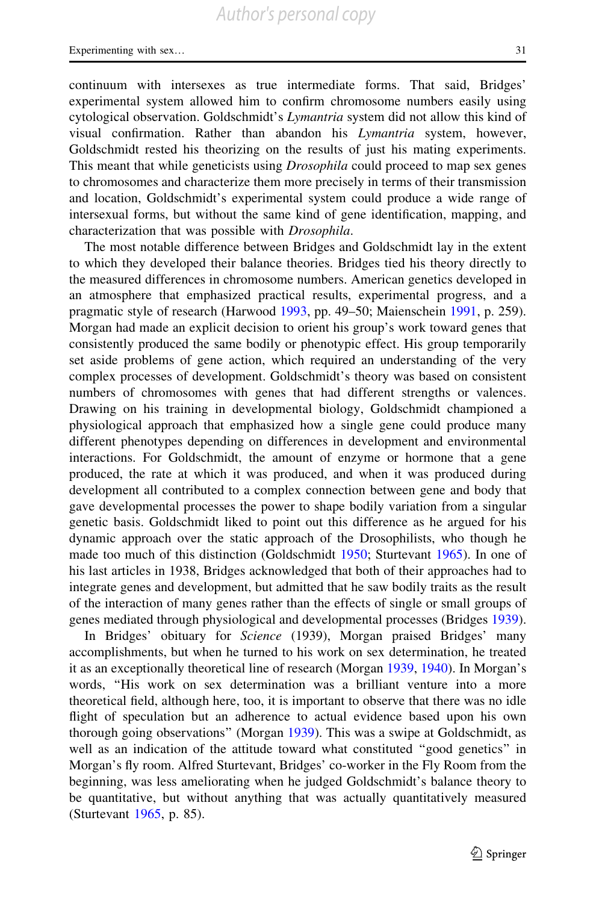continuum with intersexes as true intermediate forms. That said, Bridges' experimental system allowed him to confirm chromosome numbers easily using cytological observation. Goldschmidt's Lymantria system did not allow this kind of visual confirmation. Rather than abandon his Lymantria system, however, Goldschmidt rested his theorizing on the results of just his mating experiments. This meant that while geneticists using *Drosophila* could proceed to map sex genes to chromosomes and characterize them more precisely in terms of their transmission and location, Goldschmidt's experimental system could produce a wide range of intersexual forms, but without the same kind of gene identification, mapping, and characterization that was possible with Drosophila.

The most notable difference between Bridges and Goldschmidt lay in the extent to which they developed their balance theories. Bridges tied his theory directly to the measured differences in chromosome numbers. American genetics developed in an atmosphere that emphasized practical results, experimental progress, and a pragmatic style of research (Harwood [1993,](#page-20-0) pp. 49–50; Maienschein [1991,](#page-20-0) p. 259). Morgan had made an explicit decision to orient his group's work toward genes that consistently produced the same bodily or phenotypic effect. His group temporarily set aside problems of gene action, which required an understanding of the very complex processes of development. Goldschmidt's theory was based on consistent numbers of chromosomes with genes that had different strengths or valences. Drawing on his training in developmental biology, Goldschmidt championed a physiological approach that emphasized how a single gene could produce many different phenotypes depending on differences in development and environmental interactions. For Goldschmidt, the amount of enzyme or hormone that a gene produced, the rate at which it was produced, and when it was produced during development all contributed to a complex connection between gene and body that gave developmental processes the power to shape bodily variation from a singular genetic basis. Goldschmidt liked to point out this difference as he argued for his dynamic approach over the static approach of the Drosophilists, who though he made too much of this distinction (Goldschmidt [1950;](#page-19-0) Sturtevant [1965\)](#page-21-0). In one of his last articles in 1938, Bridges acknowledged that both of their approaches had to integrate genes and development, but admitted that he saw bodily traits as the result of the interaction of many genes rather than the effects of single or small groups of genes mediated through physiological and developmental processes (Bridges [1939\)](#page-19-0).

In Bridges' obituary for Science (1939), Morgan praised Bridges' many accomplishments, but when he turned to his work on sex determination, he treated it as an exceptionally theoretical line of research (Morgan [1939](#page-20-0), [1940](#page-20-0)). In Morgan's words, ''His work on sex determination was a brilliant venture into a more theoretical field, although here, too, it is important to observe that there was no idle flight of speculation but an adherence to actual evidence based upon his own thorough going observations'' (Morgan [1939](#page-20-0)). This was a swipe at Goldschmidt, as well as an indication of the attitude toward what constituted ''good genetics'' in Morgan's fly room. Alfred Sturtevant, Bridges' co-worker in the Fly Room from the beginning, was less ameliorating when he judged Goldschmidt's balance theory to be quantitative, but without anything that was actually quantitatively measured (Sturtevant [1965,](#page-21-0) p. 85).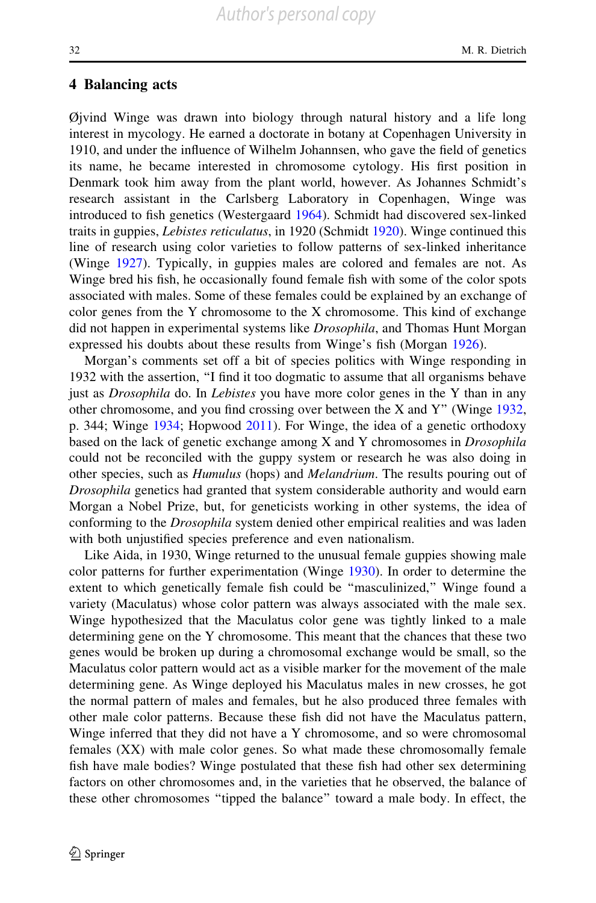#### 4 Balancing acts

Øjvind Winge was drawn into biology through natural history and a life long interest in mycology. He earned a doctorate in botany at Copenhagen University in 1910, and under the influence of Wilhelm Johannsen, who gave the field of genetics its name, he became interested in chromosome cytology. His first position in Denmark took him away from the plant world, however. As Johannes Schmidt's research assistant in the Carlsberg Laboratory in Copenhagen, Winge was introduced to fish genetics (Westergaard [1964\)](#page-21-0). Schmidt had discovered sex-linked traits in guppies, Lebistes reticulatus, in 1920 (Schmidt [1920\)](#page-21-0). Winge continued this line of research using color varieties to follow patterns of sex-linked inheritance (Winge [1927](#page-21-0)). Typically, in guppies males are colored and females are not. As Winge bred his fish, he occasionally found female fish with some of the color spots associated with males. Some of these females could be explained by an exchange of color genes from the Y chromosome to the X chromosome. This kind of exchange did not happen in experimental systems like *Drosophila*, and Thomas Hunt Morgan expressed his doubts about these results from Winge's fish (Morgan [1926](#page-20-0)).

Morgan's comments set off a bit of species politics with Winge responding in 1932 with the assertion, ''I find it too dogmatic to assume that all organisms behave just as *Drosophila* do. In *Lebistes* you have more color genes in the Y than in any other chromosome, and you find crossing over between the X and Y'' (Winge [1932,](#page-21-0) p. 344; Winge [1934;](#page-21-0) Hopwood [2011](#page-20-0)). For Winge, the idea of a genetic orthodoxy based on the lack of genetic exchange among X and Y chromosomes in Drosophila could not be reconciled with the guppy system or research he was also doing in other species, such as *Humulus* (hops) and *Melandrium*. The results pouring out of Drosophila genetics had granted that system considerable authority and would earn Morgan a Nobel Prize, but, for geneticists working in other systems, the idea of conforming to the *Drosophila* system denied other empirical realities and was laden with both unjustified species preference and even nationalism.

Like Aida, in 1930, Winge returned to the unusual female guppies showing male color patterns for further experimentation (Winge [1930\)](#page-21-0). In order to determine the extent to which genetically female fish could be ''masculinized,'' Winge found a variety (Maculatus) whose color pattern was always associated with the male sex. Winge hypothesized that the Maculatus color gene was tightly linked to a male determining gene on the Y chromosome. This meant that the chances that these two genes would be broken up during a chromosomal exchange would be small, so the Maculatus color pattern would act as a visible marker for the movement of the male determining gene. As Winge deployed his Maculatus males in new crosses, he got the normal pattern of males and females, but he also produced three females with other male color patterns. Because these fish did not have the Maculatus pattern, Winge inferred that they did not have a Y chromosome, and so were chromosomal females (XX) with male color genes. So what made these chromosomally female fish have male bodies? Winge postulated that these fish had other sex determining factors on other chromosomes and, in the varieties that he observed, the balance of these other chromosomes ''tipped the balance'' toward a male body. In effect, the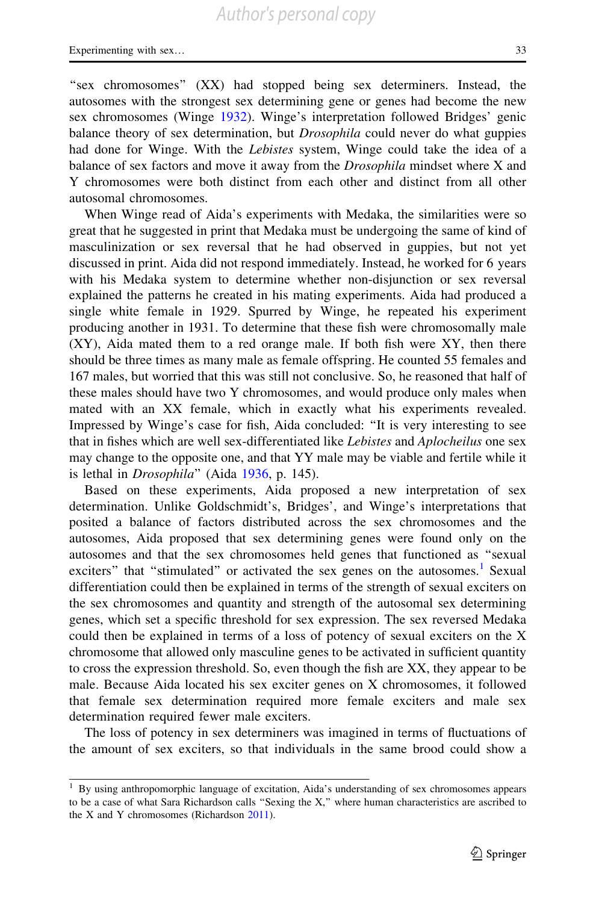"sex chromosomes" (XX) had stopped being sex determiners. Instead, the autosomes with the strongest sex determining gene or genes had become the new sex chromosomes (Winge [1932](#page-21-0)). Winge's interpretation followed Bridges' genic balance theory of sex determination, but *Drosophila* could never do what guppies had done for Winge. With the Lebistes system, Winge could take the idea of a balance of sex factors and move it away from the Drosophila mindset where X and Y chromosomes were both distinct from each other and distinct from all other autosomal chromosomes.

When Winge read of Aida's experiments with Medaka, the similarities were so great that he suggested in print that Medaka must be undergoing the same of kind of masculinization or sex reversal that he had observed in guppies, but not yet discussed in print. Aida did not respond immediately. Instead, he worked for 6 years with his Medaka system to determine whether non-disjunction or sex reversal explained the patterns he created in his mating experiments. Aida had produced a single white female in 1929. Spurred by Winge, he repeated his experiment producing another in 1931. To determine that these fish were chromosomally male (XY), Aida mated them to a red orange male. If both fish were XY, then there should be three times as many male as female offspring. He counted 55 females and 167 males, but worried that this was still not conclusive. So, he reasoned that half of these males should have two Y chromosomes, and would produce only males when mated with an XX female, which in exactly what his experiments revealed. Impressed by Winge's case for fish, Aida concluded: ''It is very interesting to see that in fishes which are well sex-differentiated like Lebistes and Aplocheilus one sex may change to the opposite one, and that YY male may be viable and fertile while it is lethal in *Drosophila*" (Aida [1936](#page-18-0), p. 145).

Based on these experiments, Aida proposed a new interpretation of sex determination. Unlike Goldschmidt's, Bridges', and Winge's interpretations that posited a balance of factors distributed across the sex chromosomes and the autosomes, Aida proposed that sex determining genes were found only on the autosomes and that the sex chromosomes held genes that functioned as ''sexual exciters" that "stimulated" or activated the sex genes on the autosomes.<sup>1</sup> Sexual differentiation could then be explained in terms of the strength of sexual exciters on the sex chromosomes and quantity and strength of the autosomal sex determining genes, which set a specific threshold for sex expression. The sex reversed Medaka could then be explained in terms of a loss of potency of sexual exciters on the X chromosome that allowed only masculine genes to be activated in sufficient quantity to cross the expression threshold. So, even though the fish are XX, they appear to be male. Because Aida located his sex exciter genes on X chromosomes, it followed that female sex determination required more female exciters and male sex determination required fewer male exciters.

The loss of potency in sex determiners was imagined in terms of fluctuations of the amount of sex exciters, so that individuals in the same brood could show a

<sup>&</sup>lt;sup>1</sup> By using anthropomorphic language of excitation, Aida's understanding of sex chromosomes appears to be a case of what Sara Richardson calls ''Sexing the X,'' where human characteristics are ascribed to the X and Y chromosomes (Richardson [2011\)](#page-20-0).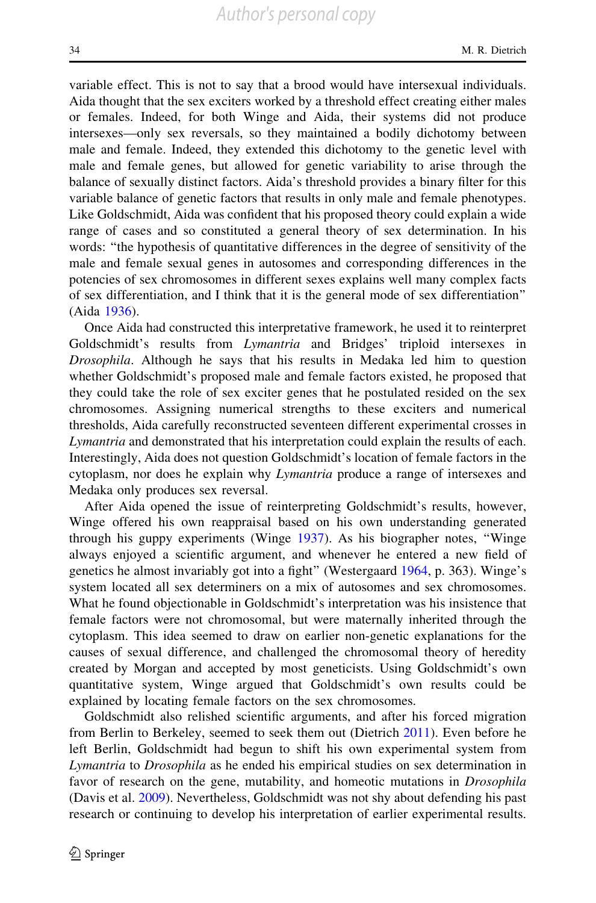variable effect. This is not to say that a brood would have intersexual individuals. Aida thought that the sex exciters worked by a threshold effect creating either males or females. Indeed, for both Winge and Aida, their systems did not produce intersexes—only sex reversals, so they maintained a bodily dichotomy between male and female. Indeed, they extended this dichotomy to the genetic level with male and female genes, but allowed for genetic variability to arise through the balance of sexually distinct factors. Aida's threshold provides a binary filter for this variable balance of genetic factors that results in only male and female phenotypes. Like Goldschmidt, Aida was confident that his proposed theory could explain a wide range of cases and so constituted a general theory of sex determination. In his words: ''the hypothesis of quantitative differences in the degree of sensitivity of the male and female sexual genes in autosomes and corresponding differences in the potencies of sex chromosomes in different sexes explains well many complex facts of sex differentiation, and I think that it is the general mode of sex differentiation'' (Aida [1936](#page-18-0)).

Once Aida had constructed this interpretative framework, he used it to reinterpret Goldschmidt's results from Lymantria and Bridges' triploid intersexes in Drosophila. Although he says that his results in Medaka led him to question whether Goldschmidt's proposed male and female factors existed, he proposed that they could take the role of sex exciter genes that he postulated resided on the sex chromosomes. Assigning numerical strengths to these exciters and numerical thresholds, Aida carefully reconstructed seventeen different experimental crosses in Lymantria and demonstrated that his interpretation could explain the results of each. Interestingly, Aida does not question Goldschmidt's location of female factors in the cytoplasm, nor does he explain why Lymantria produce a range of intersexes and Medaka only produces sex reversal.

After Aida opened the issue of reinterpreting Goldschmidt's results, however, Winge offered his own reappraisal based on his own understanding generated through his guppy experiments (Winge [1937](#page-21-0)). As his biographer notes, ''Winge always enjoyed a scientific argument, and whenever he entered a new field of genetics he almost invariably got into a fight'' (Westergaard [1964,](#page-21-0) p. 363). Winge's system located all sex determiners on a mix of autosomes and sex chromosomes. What he found objectionable in Goldschmidt's interpretation was his insistence that female factors were not chromosomal, but were maternally inherited through the cytoplasm. This idea seemed to draw on earlier non-genetic explanations for the causes of sexual difference, and challenged the chromosomal theory of heredity created by Morgan and accepted by most geneticists. Using Goldschmidt's own quantitative system, Winge argued that Goldschmidt's own results could be explained by locating female factors on the sex chromosomes.

Goldschmidt also relished scientific arguments, and after his forced migration from Berlin to Berkeley, seemed to seek them out (Dietrich [2011\)](#page-19-0). Even before he left Berlin, Goldschmidt had begun to shift his own experimental system from Lymantria to Drosophila as he ended his empirical studies on sex determination in favor of research on the gene, mutability, and homeotic mutations in *Drosophila* (Davis et al. [2009](#page-19-0)). Nevertheless, Goldschmidt was not shy about defending his past research or continuing to develop his interpretation of earlier experimental results.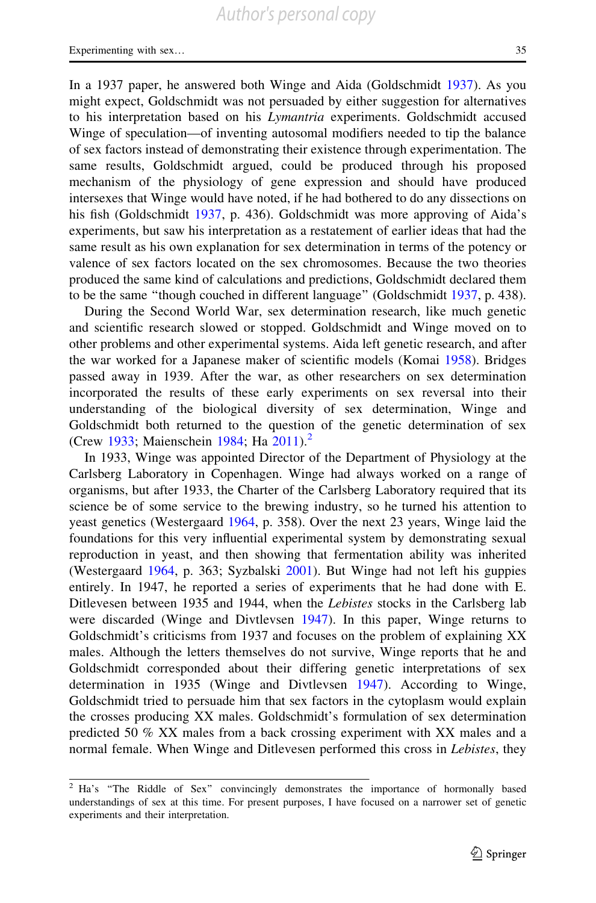In a 1937 paper, he answered both Winge and Aida (Goldschmidt [1937](#page-19-0)). As you might expect, Goldschmidt was not persuaded by either suggestion for alternatives to his interpretation based on his Lymantria experiments. Goldschmidt accused Winge of speculation—of inventing autosomal modifiers needed to tip the balance of sex factors instead of demonstrating their existence through experimentation. The same results, Goldschmidt argued, could be produced through his proposed mechanism of the physiology of gene expression and should have produced intersexes that Winge would have noted, if he had bothered to do any dissections on his fish (Goldschmidt [1937,](#page-19-0) p. 436). Goldschmidt was more approving of Aida's experiments, but saw his interpretation as a restatement of earlier ideas that had the same result as his own explanation for sex determination in terms of the potency or valence of sex factors located on the sex chromosomes. Because the two theories produced the same kind of calculations and predictions, Goldschmidt declared them to be the same ''though couched in different language'' (Goldschmidt [1937](#page-19-0), p. 438).

During the Second World War, sex determination research, like much genetic and scientific research slowed or stopped. Goldschmidt and Winge moved on to other problems and other experimental systems. Aida left genetic research, and after the war worked for a Japanese maker of scientific models (Komai [1958\)](#page-20-0). Bridges passed away in 1939. After the war, as other researchers on sex determination incorporated the results of these early experiments on sex reversal into their understanding of the biological diversity of sex determination, Winge and Goldschmidt both returned to the question of the genetic determination of sex (Crew [1933](#page-19-0); Maienschein [1984;](#page-20-0) Ha [2011\)](#page-19-0).<sup>2</sup>

In 1933, Winge was appointed Director of the Department of Physiology at the Carlsberg Laboratory in Copenhagen. Winge had always worked on a range of organisms, but after 1933, the Charter of the Carlsberg Laboratory required that its science be of some service to the brewing industry, so he turned his attention to yeast genetics (Westergaard [1964](#page-21-0), p. 358). Over the next 23 years, Winge laid the foundations for this very influential experimental system by demonstrating sexual reproduction in yeast, and then showing that fermentation ability was inherited (Westergaard [1964,](#page-21-0) p. 363; Syzbalski [2001\)](#page-21-0). But Winge had not left his guppies entirely. In 1947, he reported a series of experiments that he had done with E. Ditlevesen between 1935 and 1944, when the Lebistes stocks in the Carlsberg lab were discarded (Winge and Divtlevsen [1947](#page-21-0)). In this paper, Winge returns to Goldschmidt's criticisms from 1937 and focuses on the problem of explaining XX males. Although the letters themselves do not survive, Winge reports that he and Goldschmidt corresponded about their differing genetic interpretations of sex determination in 1935 (Winge and Divtlevsen [1947\)](#page-21-0). According to Winge, Goldschmidt tried to persuade him that sex factors in the cytoplasm would explain the crosses producing XX males. Goldschmidt's formulation of sex determination predicted 50 % XX males from a back crossing experiment with XX males and a normal female. When Winge and Ditlevesen performed this cross in *Lebistes*, they

<sup>2</sup> Ha's ''The Riddle of Sex'' convincingly demonstrates the importance of hormonally based understandings of sex at this time. For present purposes, I have focused on a narrower set of genetic experiments and their interpretation.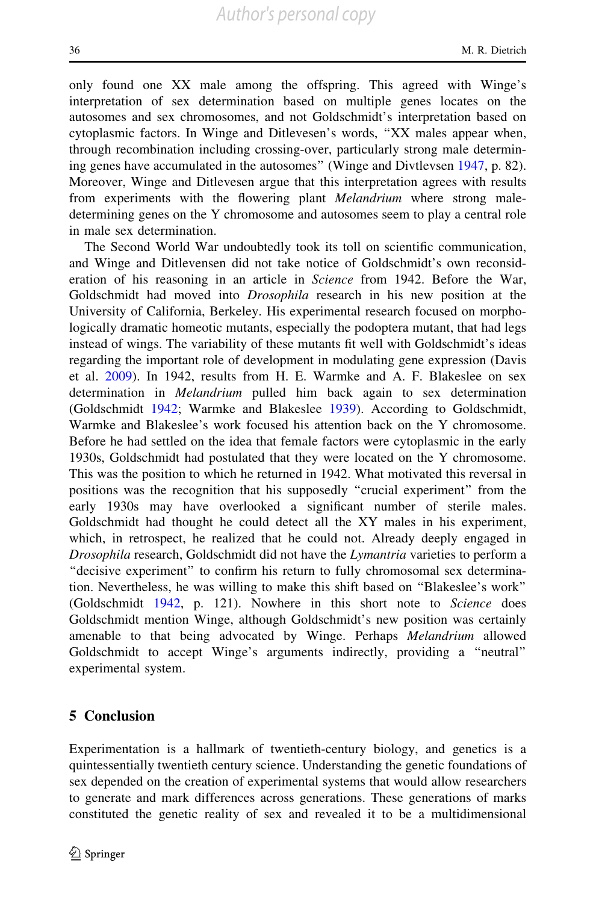only found one XX male among the offspring. This agreed with Winge's interpretation of sex determination based on multiple genes locates on the autosomes and sex chromosomes, and not Goldschmidt's interpretation based on cytoplasmic factors. In Winge and Ditlevesen's words, ''XX males appear when, through recombination including crossing-over, particularly strong male determining genes have accumulated in the autosomes'' (Winge and Divtlevsen [1947](#page-21-0), p. 82). Moreover, Winge and Ditlevesen argue that this interpretation agrees with results from experiments with the flowering plant Melandrium where strong maledetermining genes on the Y chromosome and autosomes seem to play a central role in male sex determination.

The Second World War undoubtedly took its toll on scientific communication, and Winge and Ditlevensen did not take notice of Goldschmidt's own reconsideration of his reasoning in an article in Science from 1942. Before the War, Goldschmidt had moved into Drosophila research in his new position at the University of California, Berkeley. His experimental research focused on morphologically dramatic homeotic mutants, especially the podoptera mutant, that had legs instead of wings. The variability of these mutants fit well with Goldschmidt's ideas regarding the important role of development in modulating gene expression (Davis et al. [2009\)](#page-19-0). In 1942, results from H. E. Warmke and A. F. Blakeslee on sex determination in Melandrium pulled him back again to sex determination (Goldschmidt [1942](#page-19-0); Warmke and Blakeslee [1939\)](#page-21-0). According to Goldschmidt, Warmke and Blakeslee's work focused his attention back on the Y chromosome. Before he had settled on the idea that female factors were cytoplasmic in the early 1930s, Goldschmidt had postulated that they were located on the Y chromosome. This was the position to which he returned in 1942. What motivated this reversal in positions was the recognition that his supposedly ''crucial experiment'' from the early 1930s may have overlooked a significant number of sterile males. Goldschmidt had thought he could detect all the XY males in his experiment, which, in retrospect, he realized that he could not. Already deeply engaged in Drosophila research, Goldschmidt did not have the Lymantria varieties to perform a ''decisive experiment'' to confirm his return to fully chromosomal sex determination. Nevertheless, he was willing to make this shift based on ''Blakeslee's work'' (Goldschmidt [1942](#page-19-0), p. 121). Nowhere in this short note to Science does Goldschmidt mention Winge, although Goldschmidt's new position was certainly amenable to that being advocated by Winge. Perhaps Melandrium allowed Goldschmidt to accept Winge's arguments indirectly, providing a ''neutral'' experimental system.

#### 5 Conclusion

Experimentation is a hallmark of twentieth-century biology, and genetics is a quintessentially twentieth century science. Understanding the genetic foundations of sex depended on the creation of experimental systems that would allow researchers to generate and mark differences across generations. These generations of marks constituted the genetic reality of sex and revealed it to be a multidimensional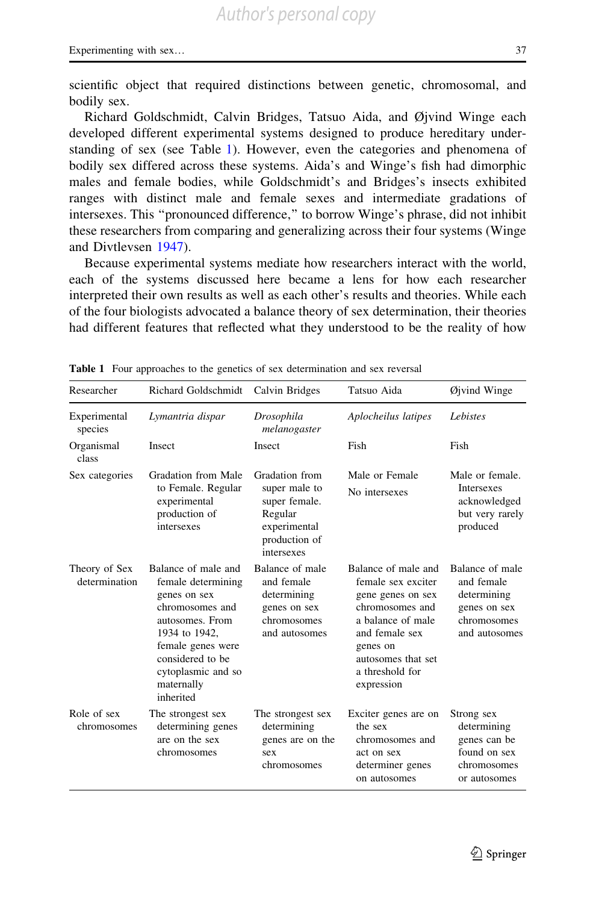scientific object that required distinctions between genetic, chromosomal, and

bodily sex. Richard Goldschmidt, Calvin Bridges, Tatsuo Aida, and Øjvind Winge each developed different experimental systems designed to produce hereditary understanding of sex (see Table 1). However, even the categories and phenomena of bodily sex differed across these systems. Aida's and Winge's fish had dimorphic males and female bodies, while Goldschmidt's and Bridges's insects exhibited ranges with distinct male and female sexes and intermediate gradations of intersexes. This ''pronounced difference,'' to borrow Winge's phrase, did not inhibit these researchers from comparing and generalizing across their four systems (Winge and Divtlevsen [1947](#page-21-0)).

Because experimental systems mediate how researchers interact with the world, each of the systems discussed here became a lens for how each researcher interpreted their own results as well as each other's results and theories. While each of the four biologists advocated a balance theory of sex determination, their theories had different features that reflected what they understood to be the reality of how

| Researcher                     | Richard Goldschmidt                                                                                                                                                                                        | Calvin Bridges                                                                                             | Tatsuo Aida                                                                                                                                                                                 | Øjvind Winge                                                                                 |
|--------------------------------|------------------------------------------------------------------------------------------------------------------------------------------------------------------------------------------------------------|------------------------------------------------------------------------------------------------------------|---------------------------------------------------------------------------------------------------------------------------------------------------------------------------------------------|----------------------------------------------------------------------------------------------|
| Experimental<br>species        | Lymantria dispar                                                                                                                                                                                           | Drosophila<br>melanogaster                                                                                 | Aplocheilus latipes                                                                                                                                                                         | Lebistes                                                                                     |
| Organismal<br>class            | Insect                                                                                                                                                                                                     | Insect                                                                                                     | Fish                                                                                                                                                                                        | Fish                                                                                         |
| Sex categories                 | Gradation from Male<br>to Female. Regular<br>experimental<br>production of<br>intersexes                                                                                                                   | Gradation from<br>super male to<br>super female.<br>Regular<br>experimental<br>production of<br>intersexes | Male or Female<br>No intersexes                                                                                                                                                             | Male or female.<br><b>Intersexes</b><br>acknowledged<br>but very rarely<br>produced          |
| Theory of Sex<br>determination | Balance of male and<br>female determining<br>genes on sex<br>chromosomes and<br>autosomes. From<br>1934 to 1942,<br>female genes were<br>considered to be<br>cytoplasmic and so<br>maternally<br>inherited | Balance of male<br>and female<br>determining<br>genes on sex<br>chromosomes<br>and autosomes               | Balance of male and<br>female sex exciter<br>gene genes on sex<br>chromosomes and<br>a balance of male<br>and female sex<br>genes on<br>autosomes that set<br>a threshold for<br>expression | Balance of male<br>and female<br>determining<br>genes on sex<br>chromosomes<br>and autosomes |
| Role of sex<br>chromosomes     | The strongest sex<br>determining genes<br>are on the sex<br>chromosomes                                                                                                                                    | The strongest sex<br>determining<br>genes are on the<br>sex<br>chromosomes                                 | Exciter genes are on<br>the sex<br>chromosomes and<br>act on sex<br>determiner genes<br>on autosomes                                                                                        | Strong sex<br>determining<br>genes can be<br>found on sex<br>chromosomes<br>or autosomes     |

Table 1 Four approaches to the genetics of sex determination and sex reversal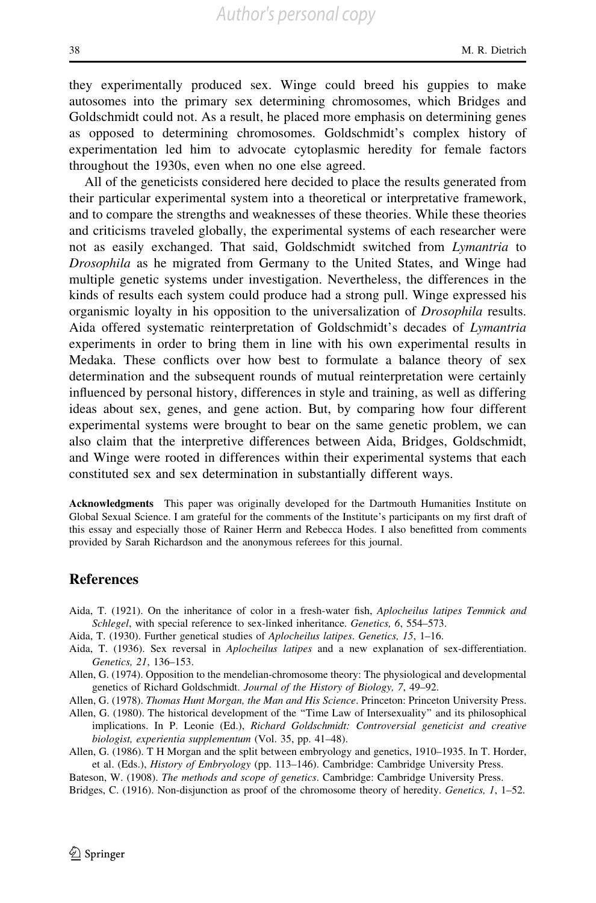<span id="page-18-0"></span>they experimentally produced sex. Winge could breed his guppies to make autosomes into the primary sex determining chromosomes, which Bridges and Goldschmidt could not. As a result, he placed more emphasis on determining genes as opposed to determining chromosomes. Goldschmidt's complex history of experimentation led him to advocate cytoplasmic heredity for female factors throughout the 1930s, even when no one else agreed.

All of the geneticists considered here decided to place the results generated from their particular experimental system into a theoretical or interpretative framework, and to compare the strengths and weaknesses of these theories. While these theories and criticisms traveled globally, the experimental systems of each researcher were not as easily exchanged. That said, Goldschmidt switched from Lymantria to Drosophila as he migrated from Germany to the United States, and Winge had multiple genetic systems under investigation. Nevertheless, the differences in the kinds of results each system could produce had a strong pull. Winge expressed his organismic loyalty in his opposition to the universalization of Drosophila results. Aida offered systematic reinterpretation of Goldschmidt's decades of Lymantria experiments in order to bring them in line with his own experimental results in Medaka. These conflicts over how best to formulate a balance theory of sex determination and the subsequent rounds of mutual reinterpretation were certainly influenced by personal history, differences in style and training, as well as differing ideas about sex, genes, and gene action. But, by comparing how four different experimental systems were brought to bear on the same genetic problem, we can also claim that the interpretive differences between Aida, Bridges, Goldschmidt, and Winge were rooted in differences within their experimental systems that each constituted sex and sex determination in substantially different ways.

Acknowledgments This paper was originally developed for the Dartmouth Humanities Institute on Global Sexual Science. I am grateful for the comments of the Institute's participants on my first draft of this essay and especially those of Rainer Herrn and Rebecca Hodes. I also benefitted from comments provided by Sarah Richardson and the anonymous referees for this journal.

#### **References**

- Aida, T. (1921). On the inheritance of color in a fresh-water fish, Aplocheilus latipes Temmick and Schlegel, with special reference to sex-linked inheritance. Genetics, 6, 554–573.
- Aida, T. (1930). Further genetical studies of Aplocheilus latipes. Genetics, 15, 1–16.
- Aida, T. (1936). Sex reversal in *Aplocheilus latipes* and a new explanation of sex-differentiation. Genetics, 21, 136–153.
- Allen, G. (1974). Opposition to the mendelian-chromosome theory: The physiological and developmental genetics of Richard Goldschmidt. Journal of the History of Biology, 7, 49–92.
- Allen, G. (1978). Thomas Hunt Morgan, the Man and His Science. Princeton: Princeton University Press.
- Allen, G. (1980). The historical development of the ''Time Law of Intersexuality'' and its philosophical implications. In P. Leonie (Ed.), Richard Goldschmidt: Controversial geneticist and creative biologist, experientia supplementum (Vol. 35, pp. 41–48).
- Allen, G. (1986). T H Morgan and the split between embryology and genetics, 1910–1935. In T. Horder, et al. (Eds.), History of Embryology (pp. 113–146). Cambridge: Cambridge University Press.

Bateson, W. (1908). The methods and scope of genetics. Cambridge: Cambridge University Press.

Bridges, C. (1916). Non-disjunction as proof of the chromosome theory of heredity. Genetics, 1, 1–52.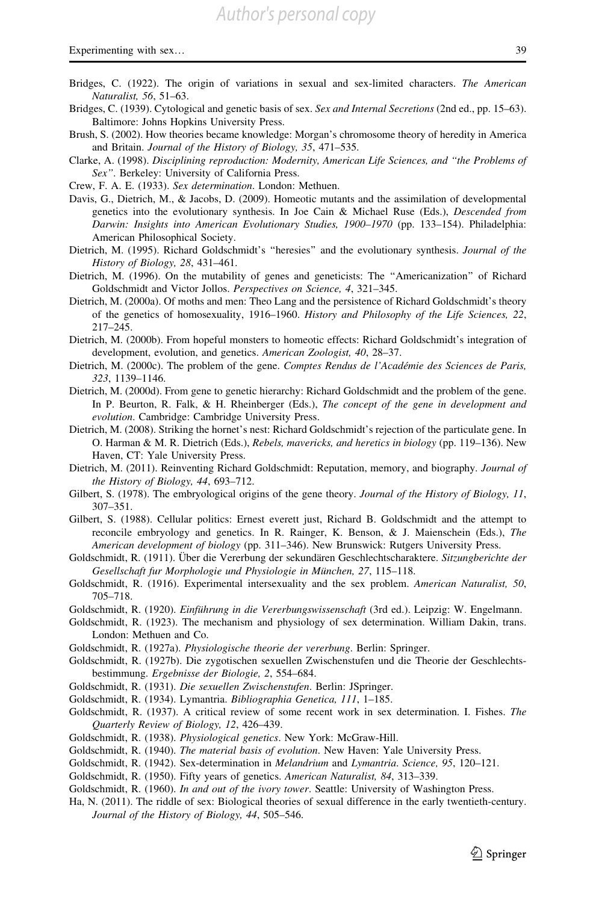- <span id="page-19-0"></span>Bridges, C. (1922). The origin of variations in sexual and sex-limited characters. The American Naturalist, 56, 51–63.
- Bridges, C. (1939). Cytological and genetic basis of sex. Sex and Internal Secretions (2nd ed., pp. 15–63). Baltimore: Johns Hopkins University Press.
- Brush, S. (2002). How theories became knowledge: Morgan's chromosome theory of heredity in America and Britain. Journal of the History of Biology, 35, 471–535.
- Clarke, A. (1998). Disciplining reproduction: Modernity, American Life Sciences, and ''the Problems of Sex''. Berkeley: University of California Press.
- Crew, F. A. E. (1933). Sex determination. London: Methuen.
- Davis, G., Dietrich, M., & Jacobs, D. (2009). Homeotic mutants and the assimilation of developmental genetics into the evolutionary synthesis. In Joe Cain & Michael Ruse (Eds.), Descended from Darwin: Insights into American Evolutionary Studies, 1900–1970 (pp. 133–154). Philadelphia: American Philosophical Society.
- Dietrich, M. (1995). Richard Goldschmidt's "heresies" and the evolutionary synthesis. Journal of the History of Biology, 28, 431–461.
- Dietrich, M. (1996). On the mutability of genes and geneticists: The ''Americanization'' of Richard Goldschmidt and Victor Jollos. Perspectives on Science, 4, 321–345.
- Dietrich, M. (2000a). Of moths and men: Theo Lang and the persistence of Richard Goldschmidt's theory of the genetics of homosexuality, 1916–1960. History and Philosophy of the Life Sciences, 22, 217–245.
- Dietrich, M. (2000b). From hopeful monsters to homeotic effects: Richard Goldschmidt's integration of development, evolution, and genetics. American Zoologist, 40, 28–37.
- Dietrich, M. (2000c). The problem of the gene. Comptes Rendus de l'Académie des Sciences de Paris, 323, 1139–1146.
- Dietrich, M. (2000d). From gene to genetic hierarchy: Richard Goldschmidt and the problem of the gene. In P. Beurton, R. Falk, & H. Rheinberger (Eds.), The concept of the gene in development and evolution. Cambridge: Cambridge University Press.
- Dietrich, M. (2008). Striking the hornet's nest: Richard Goldschmidt's rejection of the particulate gene. In O. Harman & M. R. Dietrich (Eds.), Rebels, mavericks, and heretics in biology (pp. 119–136). New Haven, CT: Yale University Press.
- Dietrich, M. (2011). Reinventing Richard Goldschmidt: Reputation, memory, and biography. Journal of the History of Biology, 44, 693–712.
- Gilbert, S. (1978). The embryological origins of the gene theory. Journal of the History of Biology, 11, 307–351.
- Gilbert, S. (1988). Cellular politics: Ernest everett just, Richard B. Goldschmidt and the attempt to reconcile embryology and genetics. In R. Rainger, K. Benson, & J. Maienschein (Eds.), The American development of biology (pp. 311–346). New Brunswick: Rutgers University Press.
- Goldschmidt, R. (1911). Über die Vererbung der sekundären Geschlechtscharaktere. Sitzungberichte der Gesellschaft fur Morphologie und Physiologie in München, 27, 115–118.
- Goldschmidt, R. (1916). Experimental intersexuality and the sex problem. American Naturalist, 50, 705–718.
- Goldschmidt, R. (1920). Einführung in die Vererbungswissenschaft (3rd ed.). Leipzig: W. Engelmann.
- Goldschmidt, R. (1923). The mechanism and physiology of sex determination. William Dakin, trans. London: Methuen and Co.
- Goldschmidt, R. (1927a). Physiologische theorie der vererbung. Berlin: Springer.
- Goldschmidt, R. (1927b). Die zygotischen sexuellen Zwischenstufen und die Theorie der Geschlechtsbestimmung. Ergebnisse der Biologie, 2, 554–684.
- Goldschmidt, R. (1931). Die sexuellen Zwischenstufen. Berlin: JSpringer.
- Goldschmidt, R. (1934). Lymantria. Bibliographia Genetica, 111, 1–185.
- Goldschmidt, R. (1937). A critical review of some recent work in sex determination. I. Fishes. The Quarterly Review of Biology, 12, 426–439.
- Goldschmidt, R. (1938). Physiological genetics. New York: McGraw-Hill.
- Goldschmidt, R. (1940). The material basis of evolution. New Haven: Yale University Press.
- Goldschmidt, R. (1942). Sex-determination in Melandrium and Lymantria. Science, 95, 120–121.
- Goldschmidt, R. (1950). Fifty years of genetics. American Naturalist, 84, 313–339.
- Goldschmidt, R. (1960). In and out of the ivory tower. Seattle: University of Washington Press.
- Ha, N. (2011). The riddle of sex: Biological theories of sexual difference in the early twentieth-century. Journal of the History of Biology, 44, 505–546.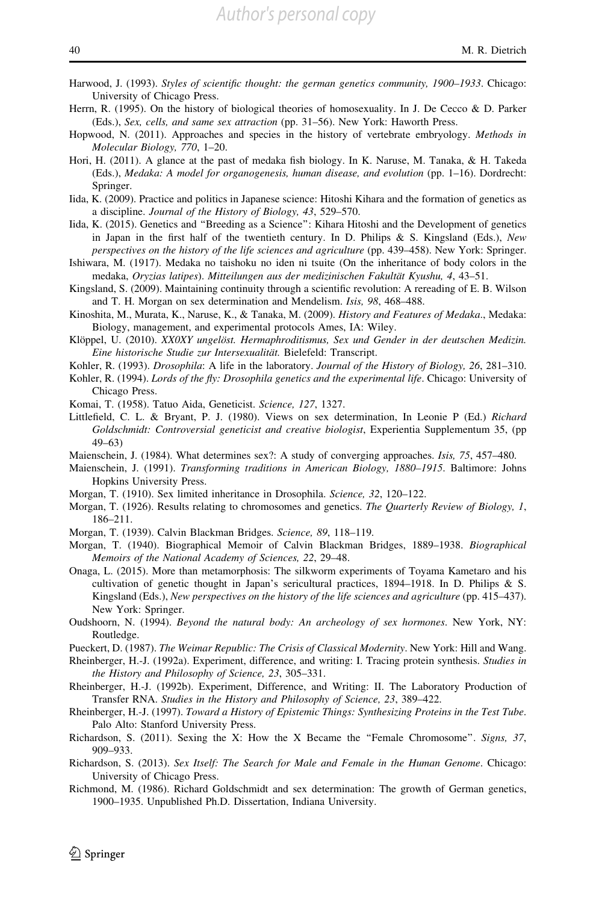- <span id="page-20-0"></span>Harwood, J. (1993). Styles of scientific thought: the german genetics community, 1900–1933. Chicago: University of Chicago Press.
- Herrn, R. (1995). On the history of biological theories of homosexuality. In J. De Cecco & D. Parker (Eds.), Sex, cells, and same sex attraction (pp. 31–56). New York: Haworth Press.
- Hopwood, N. (2011). Approaches and species in the history of vertebrate embryology. Methods in Molecular Biology, 770, 1–20.
- Hori, H. (2011). A glance at the past of medaka fish biology. In K. Naruse, M. Tanaka, & H. Takeda (Eds.), Medaka: A model for organogenesis, human disease, and evolution (pp. 1–16). Dordrecht: Springer.
- Iida, K. (2009). Practice and politics in Japanese science: Hitoshi Kihara and the formation of genetics as a discipline. Journal of the History of Biology, 43, 529–570.
- Iida, K. (2015). Genetics and ''Breeding as a Science'': Kihara Hitoshi and the Development of genetics in Japan in the first half of the twentieth century. In D. Philips & S. Kingsland (Eds.), New perspectives on the history of the life sciences and agriculture (pp. 439–458). New York: Springer.
- Ishiwara, M. (1917). Medaka no taishoku no iden ni tsuite (On the inheritance of body colors in the medaka, Oryzias latipes). Mitteilungen aus der medizinischen Fakultät Kyushu, 4, 43–51.
- Kingsland, S. (2009). Maintaining continuity through a scientific revolution: A rereading of E. B. Wilson and T. H. Morgan on sex determination and Mendelism. Isis, 98, 468–488.
- Kinoshita, M., Murata, K., Naruse, K., & Tanaka, M. (2009). History and Features of Medaka., Medaka: Biology, management, and experimental protocols Ames, IA: Wiley.
- Klöppel, U. (2010). XX0XY ungelöst. Hermaphroditismus, Sex und Gender in der deutschen Medizin. Eine historische Studie zur Intersexualität. Bielefeld: Transcript.
- Kohler, R. (1993). *Drosophila*: A life in the laboratory. Journal of the History of Biology, 26, 281–310.
- Kohler, R. (1994). Lords of the fly: Drosophila genetics and the experimental life. Chicago: University of Chicago Press.
- Komai, T. (1958). Tatuo Aida, Geneticist. Science, 127, 1327.
- Littlefield, C. L. & Bryant, P. J. (1980). Views on sex determination, In Leonie P (Ed.) Richard Goldschmidt: Controversial geneticist and creative biologist, Experientia Supplementum 35, (pp 49–63)
- Maienschein, J. (1984). What determines sex?: A study of converging approaches. Isis, 75, 457–480.
- Maienschein, J. (1991). Transforming traditions in American Biology, 1880–1915. Baltimore: Johns Hopkins University Press.
- Morgan, T. (1910). Sex limited inheritance in Drosophila. Science, 32, 120–122.
- Morgan, T. (1926). Results relating to chromosomes and genetics. The Quarterly Review of Biology, 1, 186–211.
- Morgan, T. (1939). Calvin Blackman Bridges. Science, 89, 118–119.
- Morgan, T. (1940). Biographical Memoir of Calvin Blackman Bridges, 1889–1938. Biographical Memoirs of the National Academy of Sciences, 22, 29–48.
- Onaga, L. (2015). More than metamorphosis: The silkworm experiments of Toyama Kametaro and his cultivation of genetic thought in Japan's sericultural practices, 1894–1918. In D. Philips & S. Kingsland (Eds.), New perspectives on the history of the life sciences and agriculture (pp. 415–437). New York: Springer.
- Oudshoorn, N. (1994). Beyond the natural body: An archeology of sex hormones. New York, NY: Routledge.
- Pueckert, D. (1987). The Weimar Republic: The Crisis of Classical Modernity. New York: Hill and Wang.
- Rheinberger, H.-J. (1992a). Experiment, difference, and writing: I. Tracing protein synthesis. Studies in the History and Philosophy of Science, 23, 305–331.
- Rheinberger, H.-J. (1992b). Experiment, Difference, and Writing: II. The Laboratory Production of Transfer RNA. Studies in the History and Philosophy of Science, 23, 389–422.
- Rheinberger, H.-J. (1997). Toward a History of Epistemic Things: Synthesizing Proteins in the Test Tube. Palo Alto: Stanford University Press.
- Richardson, S. (2011). Sexing the X: How the X Became the "Female Chromosome". Signs, 37, 909–933.
- Richardson, S. (2013). Sex Itself: The Search for Male and Female in the Human Genome. Chicago: University of Chicago Press.
- Richmond, M. (1986). Richard Goldschmidt and sex determination: The growth of German genetics, 1900–1935. Unpublished Ph.D. Dissertation, Indiana University.